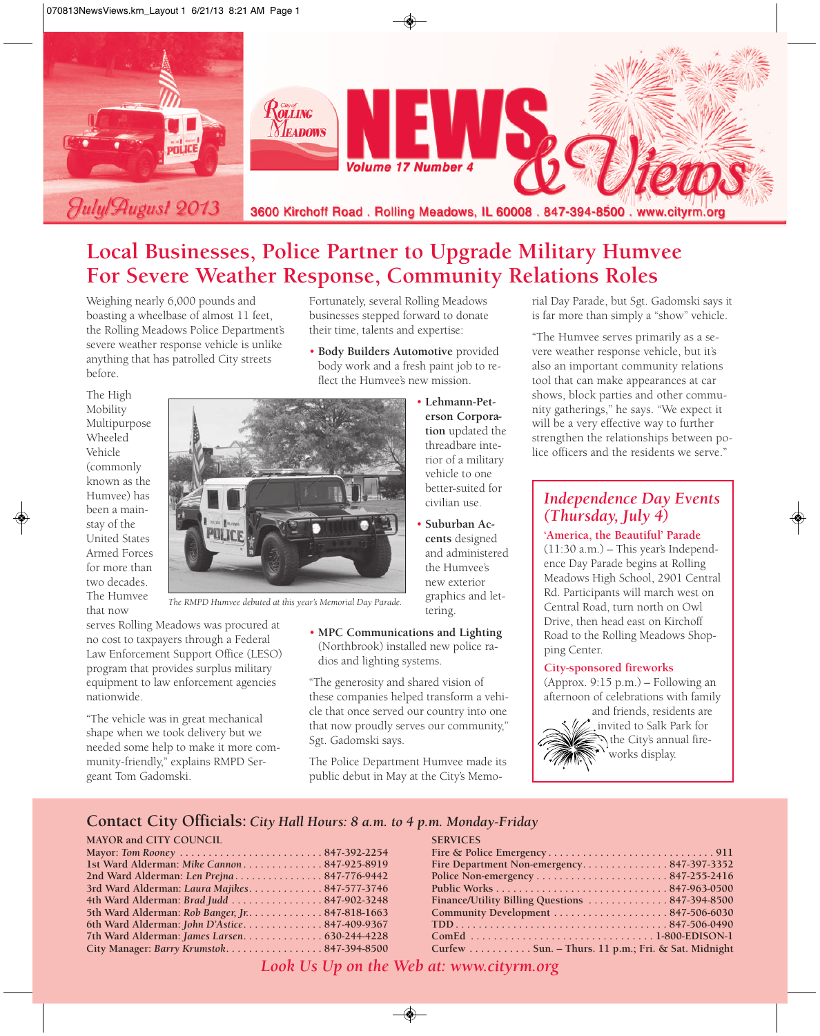

## **Local Businesses, Police Partner to Upgrade Military Humvee For Severe Weather Response, Community Relations Roles**

Weighing nearly 6,000 pounds and boasting a wheelbase of almost 11 feet, the Rolling Meadows Police Department's severe weather response vehicle is unlike anything that has patrolled City streets before.

Fortunately, several Rolling Meadows businesses stepped forward to donate their time, talents and expertise:

• **Body Builders Automotive** provided body work and a fresh paint job to reflect the Humvee's new mission.

> • **Lehmann-Peterson Corporation** updated the threadbare interior of a military vehicle to one better-suited for civilian use. • **Suburban Accents** designed and administered the Humvee's new exterior graphics and let-

The High Mobility Multipurpose Wheeled Vehicle (commonly known as the Humvee) has been a mainstay of the United States Armed Forces for more than two decades. The Humvee that now



*The RMPD Humvee debuted at this year's Memorial Day Parade.*

serves Rolling Meadows was procured at no cost to taxpayers through a Federal Law Enforcement Support Office (LESO) program that provides surplus military equipment to law enforcement agencies nationwide.

"The vehicle was in great mechanical shape when we took delivery but we needed some help to make it more community-friendly," explains RMPD Sergeant Tom Gadomski.

• **MPC Communications and Lighting** (Northbrook) installed new police radios and lighting systems.

tering.

"The generosity and shared vision of these companies helped transform a vehicle that once served our country into one that now proudly serves our community," Sgt. Gadomski says.

The Police Department Humvee made its public debut in May at the City's Memorial Day Parade, but Sgt. Gadomski says it is far more than simply a "show" vehicle.

"The Humvee serves primarily as a severe weather response vehicle, but it's also an important community relations tool that can make appearances at car shows, block parties and other community gatherings," he says. "We expect it will be a very effective way to further strengthen the relationships between police officers and the residents we serve."

### *Independence Day Events (Thursday, July 4)*

**'America, the Beautiful' Parade**  $(11:30 a.m.)$  – This year's Independence Day Parade begins at Rolling Meadows High School, 2901 Central Rd. Participants will march west on Central Road, turn north on Owl Drive, then head east on Kirchoff Road to the Rolling Meadows Shopping Center.

#### **City-sponsored fireworks**

(Approx. 9:15 p.m.) – Following an afternoon of celebrations with family

and friends, residents are invited to Salk Park for the City's annual fireworks display.

#### **Contact City Officials:** *City Hall Hours: 8 a.m. to 4 p.m. Monday-Friday*

#### **MAYOR and CITY COUNCIL**

| 1st Ward Alderman: Mike Cannon847-925-8919      |  |
|-------------------------------------------------|--|
|                                                 |  |
| 3rd Ward Alderman: Laura Majikes847-577-3746    |  |
| 4th Ward Alderman: Brad Judd  847-902-3248      |  |
| 5th Ward Alderman: Rob Banger, Jr. 847-818-1663 |  |
| 6th Ward Alderman: John D'Astice847-409-9367    |  |
| 7th Ward Alderman: James Larsen. 630-244-4228   |  |
| City Manager: Barry Krumstok847-394-8500        |  |
|                                                 |  |

*Look Us Up on the Web at: www.cityrm.org*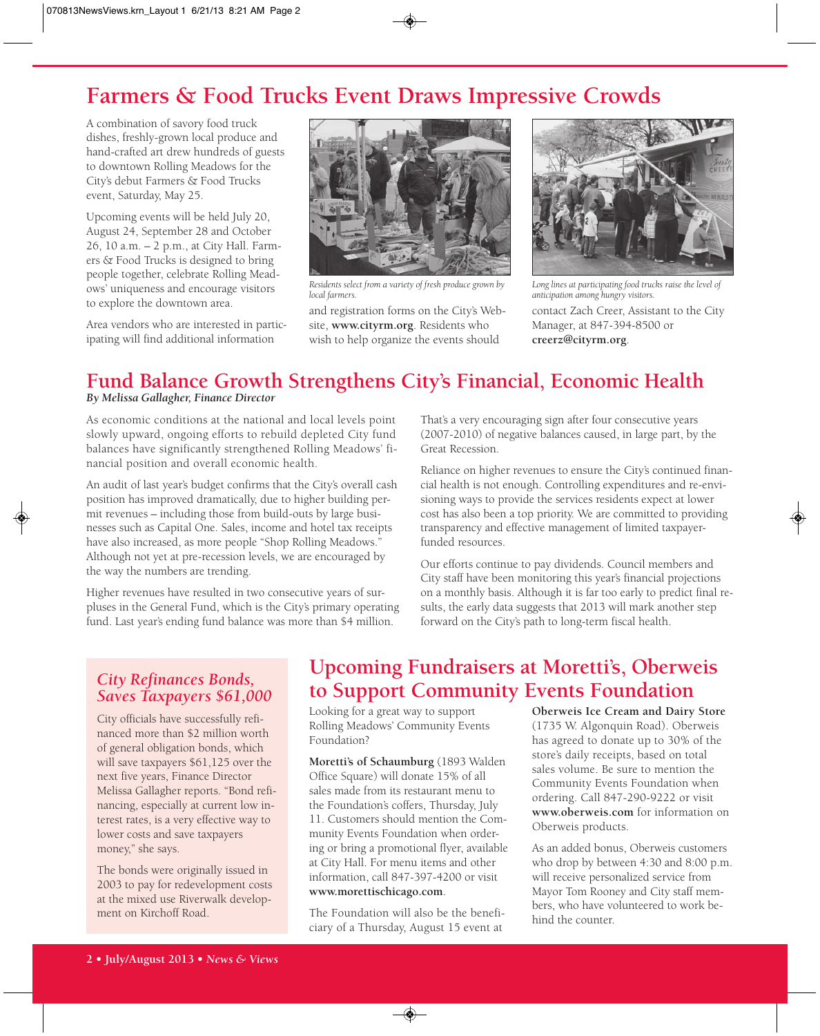# **Farmers & Food Trucks Event Draws Impressive Crowds**

A combination of savory food truck dishes, freshly-grown local produce and hand-crafted art drew hundreds of guests to downtown Rolling Meadows for the City's debut Farmers & Food Trucks event, Saturday, May 25.

Upcoming events will be held July 20, August 24, September 28 and October 26, 10 a.m. – 2 p.m., at City Hall. Farmers & Food Trucks is designed to bring people together, celebrate Rolling Meadows' uniqueness and encourage visitors to explore the downtown area.

Area vendors who are interested in participating will find additional information



*Residents select from a variety of fresh produce grown by local farmers.*

and registration forms on the City's Website, **www.cityrm.org**. Residents who wish to help organize the events should



contact Zach Creer, Assistant to the City Manager, at 847-394-8500 or **creerz@cityrm.org**. *Long lines at participating food trucks raise the level of anticipation among hungry visitors.*

# **Fund Balance Growth Strengthens City's Financial, Economic Health**

#### *By Melissa Gallagher, Finance Director*

As economic conditions at the national and local levels point slowly upward, ongoing efforts to rebuild depleted City fund balances have significantly strengthened Rolling Meadows' financial position and overall economic health.

An audit of last year's budget confirms that the City's overall cash position has improved dramatically, due to higher building permit revenues – including those from build-outs by large businesses such as Capital One. Sales, income and hotel tax receipts have also increased, as more people "Shop Rolling Meadows." Although not yet at pre-recession levels, we are encouraged by the way the numbers are trending.

Higher revenues have resulted in two consecutive years of surpluses in the General Fund, which is the City's primary operating fund. Last year's ending fund balance was more than \$4 million.

That's a very encouraging sign after four consecutive years (2007-2010) of negative balances caused, in large part, by the Great Recession.

Reliance on higher revenues to ensure the City's continued financial health is not enough. Controlling expenditures and re-envisioning ways to provide the services residents expect at lower cost has also been a top priority. We are committed to providing transparency and effective management of limited taxpayerfunded resources.

Our efforts continue to pay dividends. Council members and City staff have been monitoring this year's financial projections on a monthly basis. Although it is far too early to predict final results, the early data suggests that 2013 will mark another step forward on the City's path to long-term fiscal health.

#### *City Refinances Bonds, Saves Taxpayers \$61,000*

City officials have successfully refinanced more than \$2 million worth of general obligation bonds, which will save taxpayers \$61,125 over the next five years, Finance Director Melissa Gallagher reports. "Bond refinancing, especially at current low interest rates, is a very effective way to lower costs and save taxpayers money," she says.

The bonds were originally issued in 2003 to pay for redevelopment costs at the mixed use Riverwalk development on Kirchoff Road.

# **Upcoming Fundraisers at Moretti's, Oberweis to Support Community Events Foundation**

Looking for a great way to support Rolling Meadows' Community Events Foundation?

**Moretti's of Schaumburg** (1893 Walden Office Square) will donate 15% of all sales made from its restaurant menu to the Foundation's coffers, Thursday, July 11. Customers should mention the Community Events Foundation when ordering or bring a promotional flyer, available at City Hall. For menu items and other information, call 847-397-4200 or visit **www.morettischicago.com**.

The Foundation will also be the beneficiary of a Thursday, August 15 event at

**Oberweis Ice Cream and Dairy Store** (1735 W. Algonquin Road). Oberweis has agreed to donate up to 30% of the store's daily receipts, based on total sales volume. Be sure to mention the Community Events Foundation when ordering. Call 847-290-9222 or visit **www.oberweis.com** for information on Oberweis products.

As an added bonus, Oberweis customers who drop by between 4:30 and 8:00 p.m. will receive personalized service from Mayor Tom Rooney and City staff members, who have volunteered to work behind the counter.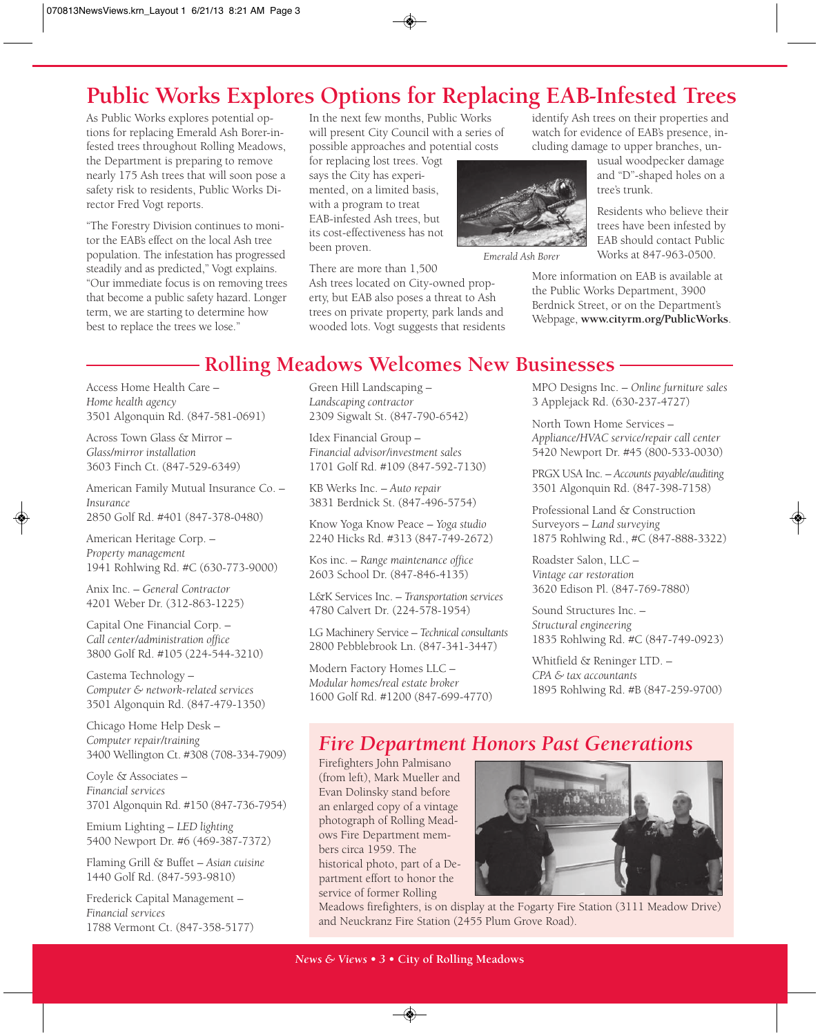# **Public Works Explores Options for Replacing EAB-Infested Trees**

As Public Works explores potential options for replacing Emerald Ash Borer-infested trees throughout Rolling Meadows, the Department is preparing to remove nearly 175 Ash trees that will soon pose a safety risk to residents, Public Works Director Fred Vogt reports.

"The Forestry Division continues to monitor the EAB's effect on the local Ash tree population. The infestation has progressed steadily and as predicted," Vogt explains. "Our immediate focus is on removing trees that become a public safety hazard. Longer term, we are starting to determine how best to replace the trees we lose."

In the next few months, Public Works will present City Council with a series of possible approaches and potential costs

for replacing lost trees. Vogt says the City has experimented, on a limited basis, with a program to treat EAB-infested Ash trees, but its cost-effectiveness has not been proven.

There are more than 1,500

Ash trees located on City-owned property, but EAB also poses a threat to Ash trees on private property, park lands and wooded lots. Vogt suggests that residents identify Ash trees on their properties and watch for evidence of EAB's presence, including damage to upper branches, un-

usual woodpecker damage and "D"-shaped holes on a tree's trunk.

Residents who believe their trees have been infested by EAB should contact Public Works at 847-963-0500.

More information on EAB is available at the Public Works Department, 3900 Berdnick Street, or on the Department's Webpage, **www.cityrm.org/PublicWorks**.

### **Rolling Meadows Welcomes New Businesses**

Access Home Health Care – *Home health agency* 3501 Algonquin Rd. (847-581-0691)

Across Town Glass & Mirror – *Glass/mirror installation* 3603 Finch Ct. (847-529-6349)

American Family Mutual Insurance Co. – *Insurance* 2850 Golf Rd. #401 (847-378-0480)

American Heritage Corp. – *Property management* 1941 Rohlwing Rd. #C (630-773-9000)

Anix Inc. – *General Contractor* 4201 Weber Dr. (312-863-1225)

Capital One Financial Corp. – *Call center/administration office* 3800 Golf Rd. #105 (224-544-3210)

Castema Technology – *Computer & network-related services* 3501 Algonquin Rd. (847-479-1350)

Chicago Home Help Desk – *Computer repair/training* 3400 Wellington Ct. #308 (708-334-7909)

Coyle & Associates – *Financial services* 3701 Algonquin Rd. #150 (847-736-7954)

Emium Lighting – *LED lighting* 5400 Newport Dr. #6 (469-387-7372)

Flaming Grill & Buffet – *Asian cuisine* 1440 Golf Rd. (847-593-9810)

Frederick Capital Management – *Financial services* 1788 Vermont Ct. (847-358-5177) Green Hill Landscaping – *Landscaping contractor* 2309 Sigwalt St. (847-790-6542)

Idex Financial Group – *Financial advisor/investment sales* 1701 Golf Rd. #109 (847-592-7130)

KB Werks Inc. – *Auto repair* 3831 Berdnick St. (847-496-5754)

Know Yoga Know Peace – *Yoga studio* 2240 Hicks Rd. #313 (847-749-2672)

Kos inc. – *Range maintenance office* 2603 School Dr. (847-846-4135)

L&K Services Inc. – *Transportation services* 4780 Calvert Dr. (224-578-1954)

LG Machinery Service – *Technical consultants* 2800 Pebblebrook Ln. (847-341-3447)

Modern Factory Homes LLC – *Modular homes/real estate broker* 1600 Golf Rd. #1200 (847-699-4770) MPO Designs Inc. – *Online furniture sales* 3 Applejack Rd. (630-237-4727)

North Town Home Services – *Appliance/HVAC service/repair call center* 5420 Newport Dr. #45 (800-533-0030)

PRGX USA Inc. – *Accounts payable/auditing* 3501 Algonquin Rd. (847-398-7158)

Professional Land & Construction Surveyors – *Land surveying* 1875 Rohlwing Rd., #C (847-888-3322)

Roadster Salon, LLC – *Vintage car restoration* 3620 Edison Pl. (847-769-7880)

Sound Structures Inc. – *Structural engineering* 1835 Rohlwing Rd. #C (847-749-0923)

Whitfield & Reninger LTD. – *CPA & tax accountants* 1895 Rohlwing Rd. #B (847-259-9700)

### *Fire Department Honors Past Generations*

*Emerald Ash Borer*

Firefighters John Palmisano (from left), Mark Mueller and Evan Dolinsky stand before an enlarged copy of a vintage photograph of Rolling Meadows Fire Department members circa 1959. The historical photo, part of a Department effort to honor the service of former Rolling



Meadows firefighters, is on display at the Fogarty Fire Station (3111 Meadow Drive) and Neuckranz Fire Station (2455 Plum Grove Road).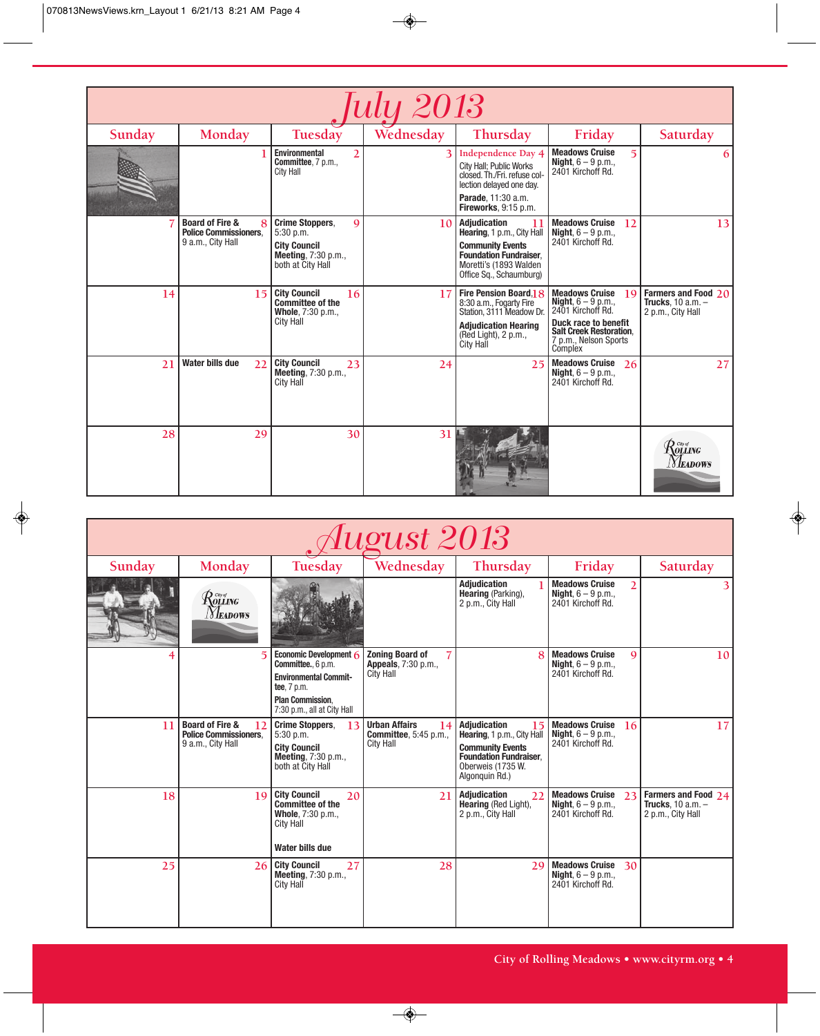| <i><b>July 2013</b></i> |                                                                                      |                                                                                                                         |           |                                                                                                                                                                          |                                                                                                                                                                                |                                                                                                     |  |  |
|-------------------------|--------------------------------------------------------------------------------------|-------------------------------------------------------------------------------------------------------------------------|-----------|--------------------------------------------------------------------------------------------------------------------------------------------------------------------------|--------------------------------------------------------------------------------------------------------------------------------------------------------------------------------|-----------------------------------------------------------------------------------------------------|--|--|
| Sunday                  | Monday                                                                               | Tuesday                                                                                                                 | Wednesday | Thursday                                                                                                                                                                 | Friday                                                                                                                                                                         | Saturday                                                                                            |  |  |
|                         |                                                                                      | <b>Environmental</b><br>$\overline{2}$<br><b>Committee, 7 p.m.,</b><br><b>City Hall</b>                                 |           | <b>Independence Day 4</b><br>City Hall; Public Works<br>closed. Th./Fri. refuse col-<br>lection delayed one day.<br><b>Parade.</b> 11:30 a.m.<br>Fireworks, 9:15 p.m.    | <b>Meadows Cruise</b><br>5<br><b>Night</b> , $6 - 9$ p.m.,<br>2401 Kirchoff Rd.                                                                                                | 6                                                                                                   |  |  |
|                         | <b>Board of Fire &amp;</b><br>8<br><b>Police Commissioners.</b><br>9 a.m., City Hall | <b>Crime Stoppers,</b><br>$\mathbf Q$<br>$5:30$ p.m.<br><b>City Council</b><br>Meeting, 7:30 p.m.,<br>both at City Hall | 10        | <b>Adjudication</b><br>11<br>Hearing, 1 p.m., City Hall<br><b>Community Events</b><br><b>Foundation Fundraiser.</b><br>Moretti's (1893 Walden<br>Office Sq., Schaumburg) | <b>Meadows Cruise</b><br>12<br><b>Night</b> , $6 - 9$ p.m.,<br>2401 Kirchoff Rd.                                                                                               | 13                                                                                                  |  |  |
| 14                      | 15                                                                                   | <b>City Council</b><br>16<br><b>Committee of the</b><br>Whole, 7:30 p.m.,<br>City Hall                                  | 17        | Fire Pension Board.1 8<br>8:30 a.m., Fogarty Fire<br>Station, 3111 Meadow Dr.<br><b>Adjudication Hearing</b><br>(Red Light), 2 p.m.,<br><b>City Hall</b>                 | <b>Meadows Cruise</b><br>19<br><b>Night</b> , $6 - 9$ p.m.,<br>2401 Kirchoff Rd.<br>Duck race to benefit<br><b>Salt Creek Restoration.</b><br>7 p.m., Nelson Sports<br>Complex | Farmers and Food 20<br>Trucks. $10$ a.m. $-$<br>2 p.m., City Hall                                   |  |  |
| 21                      | <b>Water bills due</b><br>22                                                         | <b>City Council</b><br>23<br>Meeting, 7:30 p.m.,<br>City Hall                                                           | 24        | 25                                                                                                                                                                       | <b>Meadows Cruise</b><br>26<br><b>Night</b> , $6 - 9$ p.m.,<br>2401 Kirchoff Rd.                                                                                               | 27                                                                                                  |  |  |
| 28                      | 29                                                                                   | 30                                                                                                                      | 31        |                                                                                                                                                                          |                                                                                                                                                                                | $\mathcal{R}^{\tiny{{\tiny\it C}\!{\tiny\it W}\!{\tiny\it G}}}_{\tiny\it OLLING}$<br><i>Neadows</i> |  |  |

| August 2013 |                                                                                       |                                                                                                                                                         |                                                                                |                                                                                                                                                            |                                                                                              |                                                                   |  |  |
|-------------|---------------------------------------------------------------------------------------|---------------------------------------------------------------------------------------------------------------------------------------------------------|--------------------------------------------------------------------------------|------------------------------------------------------------------------------------------------------------------------------------------------------------|----------------------------------------------------------------------------------------------|-------------------------------------------------------------------|--|--|
| Sunday      | Monday                                                                                | Tuesday                                                                                                                                                 | Wednesday                                                                      | Thursday                                                                                                                                                   | Friday                                                                                       | Saturday                                                          |  |  |
|             | $\mathcal{R}$ olling<br><b>NEADOWS</b>                                                |                                                                                                                                                         |                                                                                | <b>Adjudication</b><br>Hearing (Parking),<br>2 p.m., City Hall                                                                                             | <b>Meadows Cruise</b><br>$\overline{2}$<br><b>Night</b> , $6 - 9$ p.m.,<br>2401 Kirchoff Rd. |                                                                   |  |  |
|             | $\overline{5}$                                                                        | Economic Development $6$<br>Committee., 6 p.m.<br><b>Environmental Commit-</b><br>tee, 7 p.m.<br><b>Plan Commission.</b><br>7:30 p.m., all at City Hall | <b>Zoning Board of</b><br>Appeals, 7:30 p.m.,<br><b>City Hall</b>              | $\mathbf{8}$                                                                                                                                               | <b>Meadows Cruise</b><br>$\mathbf Q$<br><b>Night</b> , $6 - 9$ p.m.,<br>2401 Kirchoff Rd.    | 10 <sup>1</sup>                                                   |  |  |
| 11          | <b>Board of Fire &amp;</b><br>12<br><b>Police Commissioners.</b><br>9 a.m., City Hall | <b>Crime Stoppers.</b><br>13<br>$5:30$ p.m.<br><b>City Council</b><br>Meeting, 7:30 p.m.,<br>both at City Hall                                          | <b>Urban Affairs</b><br>14<br><b>Committee.</b> 5:45 p.m.,<br><b>City Hall</b> | <b>Adjudication</b><br>15<br>Hearing, 1 p.m., City Hall<br><b>Community Events</b><br><b>Foundation Fundraiser.</b><br>Oberweis (1735 W.<br>Algonquin Rd.) | <b>Meadows Cruise</b><br>16<br><b>Night</b> , $6 - 9$ p.m.,<br>2401 Kirchoff Rd.             | 17                                                                |  |  |
| 18          | 19                                                                                    | <b>City Council</b><br>20<br>Committee of the<br>Whole, 7:30 p.m.,<br><b>City Hall</b><br>Water bills due                                               | 21                                                                             | <b>Adjudication</b><br>22<br>Hearing (Red Light),<br>2 p.m., City Hall                                                                                     | <b>Meadows Cruise</b><br>23<br><b>Night</b> , $6 - 9$ p.m.,<br>2401 Kirchoff Rd.             | Farmers and Food 24<br>Trucks. $10$ a.m. $-$<br>2 p.m., City Hall |  |  |
| 25          | 26                                                                                    | <b>City Council</b><br>27<br><b>Meeting, 7:30 p.m.,</b><br>City Hall                                                                                    | 28                                                                             | 29                                                                                                                                                         | <b>Meadows Cruise</b><br>30<br><b>Night</b> , $6 - 9$ p.m.,<br>2401 Kirchoff Rd.             |                                                                   |  |  |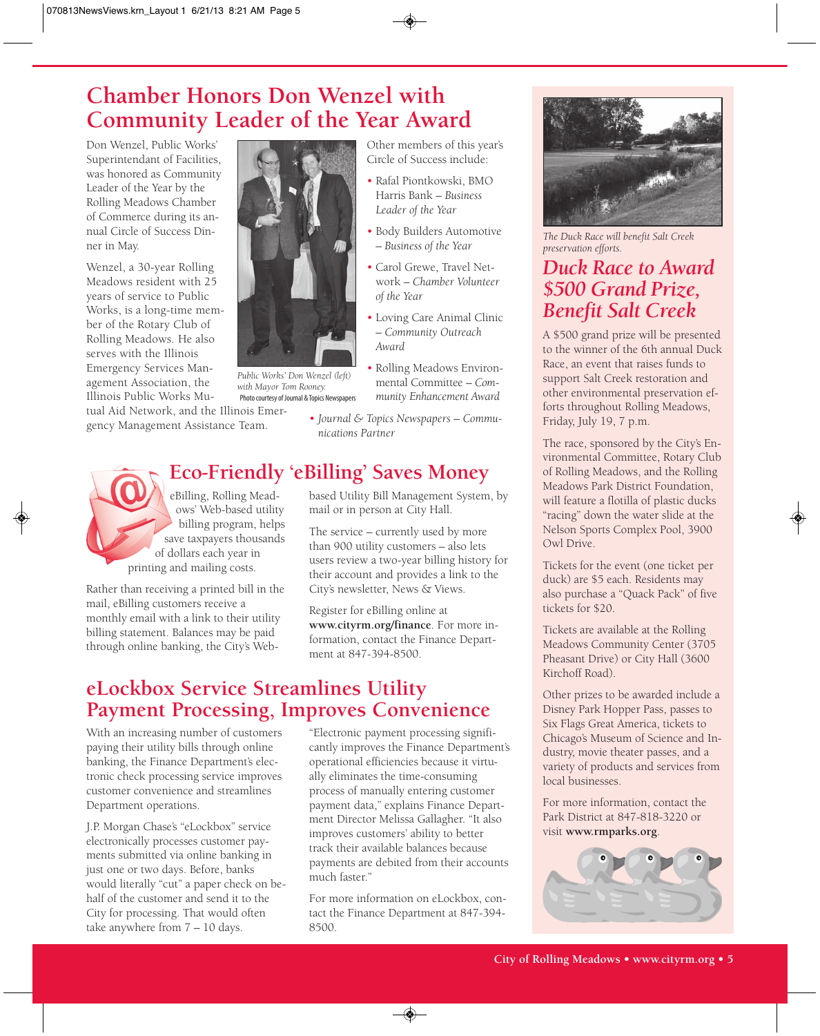## **Chamber Honors Don Wenzel with Community Leader of the Year Award**

Don Wenzel, Public Works' Superintendant of Facilities, was honored as Community Leader of the Year by the Rolling Meadows Chamber of Commerce during its annual Circle of Success Dinner in May.

Wenzel, a 30-year Rolling Meadows resident with 25 years of service to Public Works, is a long-time member of the Rotary Club of Rolling Meadows. He also serves with the Illinois Emergency Services Management Association, the Illinois Public Works Mu-

tual Aid Network, and the Illinois Emergency Management Assistance Team.



*Public Works' Don Wenzel (left) with Mayor Tom Rooney.* Photo courtesy of Journal & Topics Newspapers

Other members of this year's Circle of Success include:

- Rafal Piontkowski, BMO Harris Bank – *Business Leader of the Year*
- Body Builders Automotive – *Business of the Year*
- Carol Grewe, Travel Network – *Chamber Volunteer of the Year*
- Loving Care Animal Clinic – *Community Outreach Award*
- Rolling Meadows Environmental Committee – *Community Enhancement Award*
- *Journal & Topics Newspapers Communications Partner*

## **Eco-Friendly 'eBilling' Saves Money**

eBilling, Rolling Meadows' Web-based utility billing program, helps save taxpayers thousands of dollars each year in printing and mailing costs.

Rather than receiving a printed bill in the mail, eBilling customers receive a monthly email with a link to their utility billing statement. Balances may be paid through online banking, the City's Web-

based Utility Bill Management System, by mail or in person at City Hall.

The service – currently used by more than 900 utility customers – also lets users review a two-year billing history for their account and provides a link to the City's newsletter, News & Views.

Register for eBilling online at **www.cityrm.org/finance**. For more information, contact the Finance Department at 847-394-8500.

## **eLockbox Service Streamlines Utility Payment Processing, Improves Convenience**

With an increasing number of customers paying their utility bills through online banking, the Finance Department's electronic check processing service improves customer convenience and streamlines Department operations.

J.P. Morgan Chase's "eLockbox" service electronically processes customer payments submitted via online banking in just one or two days. Before, banks would literally "cut" a paper check on behalf of the customer and send it to the City for processing. That would often take anywhere from 7 – 10 days.

"Electronic payment processing significantly improves the Finance Department's operational efficiencies because it virtually eliminates the time-consuming process of manually entering customer payment data," explains Finance Department Director Melissa Gallagher. "It also improves customers' ability to better track their available balances because payments are debited from their accounts much faster."

For more information on eLockbox, contact the Finance Department at 847-394- 8500.



*The Duck Race will benefit Salt Creek preservation efforts.*

## *Duck Race to Award \$500 Grand Prize, Benefit Salt Creek*

A \$500 grand prize will be presented to the winner of the 6th annual Duck Race, an event that raises funds to support Salt Creek restoration and other environmental preservation efforts throughout Rolling Meadows, Friday, July 19, 7 p.m.

The race, sponsored by the City's Environmental Committee, Rotary Club of Rolling Meadows, and the Rolling Meadows Park District Foundation, will feature a flotilla of plastic ducks "racing" down the water slide at the Nelson Sports Complex Pool, 3900 Owl Drive.

Tickets for the event (one ticket per duck) are \$5 each. Residents may also purchase a "Quack Pack" of five tickets for \$20.

Tickets are available at the Rolling Meadows Community Center (3705 Pheasant Drive) or City Hall (3600 Kirchoff Road).

Other prizes to be awarded include a Disney Park Hopper Pass, passes to Six Flags Great America, tickets to Chicago's Museum of Science and Industry, movie theater passes, and a variety of products and services from local businesses.

For more information, contact the Park District at 847-818-3220 or visit **www.rmparks.org**.